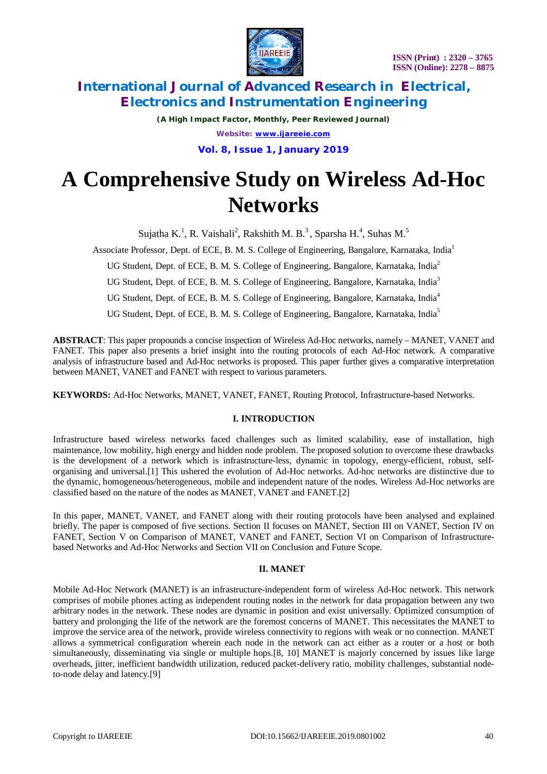

*(A High Impact Factor, Monthly, Peer Reviewed Journal) Website: [www.ijareeie.com](http://www.ijareeie.com)*

**Vol. 8, Issue 1, January 2019**

# **A Comprehensive Study on Wireless Ad-Hoc Networks**

Sujatha K.<sup>1</sup>, R. Vaishali<sup>2</sup>, Rakshith M. B.<sup>3</sup>, Sparsha H.<sup>4</sup>, Suhas M.<sup>5</sup>

Associate Professor, Dept. of ECE, B. M. S. College of Engineering, Bangalore, Karnataka, India<sup>1</sup>

UG Student, Dept. of ECE, B. M. S. College of Engineering, Bangalore, Karnataka, India<sup>2</sup>

UG Student, Dept. of ECE, B. M. S. College of Engineering, Bangalore, Karnataka, India<sup>3</sup>

UG Student, Dept. of ECE, B. M. S. College of Engineering, Bangalore, Karnataka, India<sup>4</sup>

UG Student, Dept. of ECE, B. M. S. College of Engineering, Bangalore, Karnataka, India<sup>5</sup>

**ABSTRACT**: This paper propounds a concise inspection of Wireless Ad-Hoc networks, namely – MANET, VANET and FANET. This paper also presents a brief insight into the routing protocols of each Ad-Hoc network. A comparative analysis of infrastructure based and Ad-Hoc networks is proposed. This paper further gives a comparative interpretation between MANET, VANET and FANET with respect to various parameters.

**KEYWORDS:** Ad-Hoc Networks, MANET, VANET, FANET, Routing Protocol, Infrastructure-based Networks.

# **I. INTRODUCTION**

Infrastructure based wireless networks faced challenges such as limited scalability, ease of installation, high maintenance, low mobility, high energy and hidden node problem. The proposed solution to overcome these drawbacks is the development of a network which is infrastructure-less, dynamic in topology, energy-efficient, robust, selforganising and universal.[1] This ushered the evolution of Ad-Hoc networks. Ad-hoc networks are distinctive due to the dynamic, homogeneous/heterogeneous, mobile and independent nature of the nodes. Wireless Ad-Hoc networks are classified based on the nature of the nodes as MANET, VANET and FANET.[2]

In this paper, MANET, VANET, and FANET along with their routing protocols have been analysed and explained briefly. The paper is composed of five sections. Section II focuses on MANET, Section III on VANET, Section IV on FANET, Section V on Comparison of MANET, VANET and FANET, Section VI on Comparison of Infrastructurebased Networks and Ad-Hoc Networks and Section VII on Conclusion and Future Scope.

# **II. MANET**

Mobile Ad-Hoc Network (MANET) is an infrastructure-independent form of wireless Ad-Hoc network. This network comprises of mobile phones acting as independent routing nodes in the network for data propagation between any two arbitrary nodes in the network. These nodes are dynamic in position and exist universally. Optimized consumption of battery and prolonging the life of the network are the foremost concerns of MANET. This necessitates the MANET to improve the service area of the network, provide wireless connectivity to regions with weak or no connection. MANET allows a symmetrical configuration wherein each node in the network can act either as a router or a host or both simultaneously, disseminating via single or multiple hops.[8, 10] MANET is majorly concerned by issues like large overheads, jitter, inefficient bandwidth utilization, reduced packet-delivery ratio, mobility challenges, substantial nodeto-node delay and latency.[9]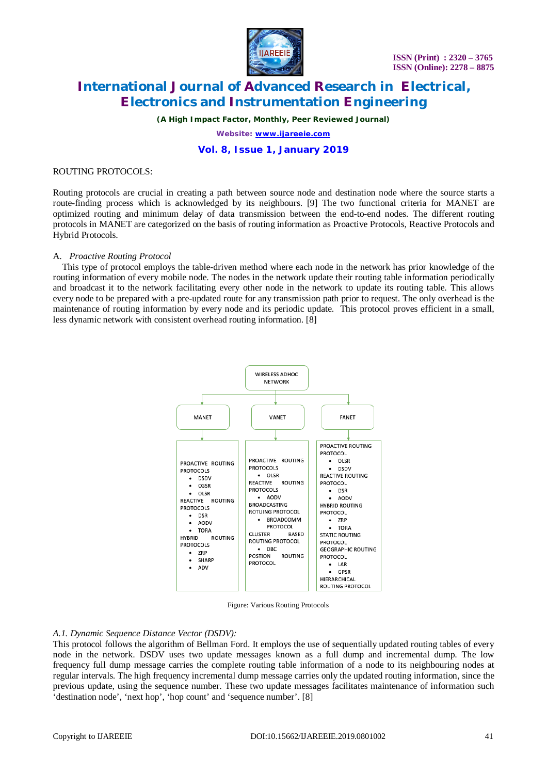

*(A High Impact Factor, Monthly, Peer Reviewed Journal)*

*Website: [www.ijareeie.com](http://www.ijareeie.com)*

# **Vol. 8, Issue 1, January 2019**

### ROUTING PROTOCOLS:

Routing protocols are crucial in creating a path between source node and destination node where the source starts a route-finding process which is acknowledged by its neighbours. [9] The two functional criteria for MANET are optimized routing and minimum delay of data transmission between the end-to-end nodes. The different routing protocols in MANET are categorized on the basis of routing information as Proactive Protocols, Reactive Protocols and Hybrid Protocols.

# A. *Proactive Routing Protocol*

This type of protocol employs the table-driven method where each node in the network has prior knowledge of the routing information of every mobile node. The nodes in the network update their routing table information periodically and broadcast it to the network facilitating every other node in the network to update its routing table. This allows every node to be prepared with a pre-updated route for any transmission path prior to request. The only overhead is the maintenance of routing information by every node and its periodic update. This protocol proves efficient in a small, less dynamic network with consistent overhead routing information. [8]



Figure: Various Routing Protocols

# *A.1. Dynamic Sequence Distance Vector (DSDV):*

This protocol follows the algorithm of Bellman Ford. It employs the use of sequentially updated routing tables of every node in the network. DSDV uses two update messages known as a full dump and incremental dump. The low frequency full dump message carries the complete routing table information of a node to its neighbouring nodes at regular intervals. The high frequency incremental dump message carries only the updated routing information, since the previous update, using the sequence number. These two update messages facilitates maintenance of information such 'destination node', 'next hop', 'hop count' and 'sequence number'. [8]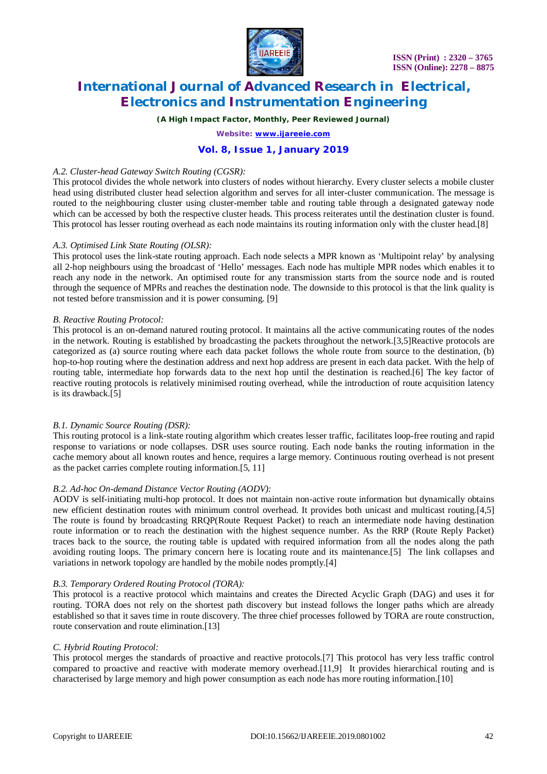

*(A High Impact Factor, Monthly, Peer Reviewed Journal)*

*Website: [www.ijareeie.com](http://www.ijareeie.com)*

# **Vol. 8, Issue 1, January 2019**

### *A.2. Cluster-head Gateway Switch Routing (CGSR):*

This protocol divides the whole network into clusters of nodes without hierarchy. Every cluster selects a mobile cluster head using distributed cluster head selection algorithm and serves for all inter-cluster communication. The message is routed to the neighbouring cluster using cluster-member table and routing table through a designated gateway node which can be accessed by both the respective cluster heads. This process reiterates until the destination cluster is found. This protocol has lesser routing overhead as each node maintains its routing information only with the cluster head.[8]

### *A.3. Optimised Link State Routing (OLSR):*

This protocol uses the link-state routing approach. Each node selects a MPR known as 'Multipoint relay' by analysing all 2-hop neighbours using the broadcast of 'Hello' messages. Each node has multiple MPR nodes which enables it to reach any node in the network. An optimised route for any transmission starts from the source node and is routed through the sequence of MPRs and reaches the destination node. The downside to this protocol is that the link quality is not tested before transmission and it is power consuming. [9]

### *B. Reactive Routing Protocol:*

This protocol is an on-demand natured routing protocol. It maintains all the active communicating routes of the nodes in the network. Routing is established by broadcasting the packets throughout the network.[3,5]Reactive protocols are categorized as (a) source routing where each data packet follows the whole route from source to the destination, (b) hop-to-hop routing where the destination address and next hop address are present in each data packet. With the help of routing table, intermediate hop forwards data to the next hop until the destination is reached.[6] The key factor of reactive routing protocols is relatively minimised routing overhead, while the introduction of route acquisition latency is its drawback.[5]

# *B.1. Dynamic Source Routing (DSR):*

This routing protocol is a link-state routing algorithm which creates lesser traffic, facilitates loop-free routing and rapid response to variations or node collapses. DSR uses source routing. Each node banks the routing information in the cache memory about all known routes and hence, requires a large memory. Continuous routing overhead is not present as the packet carries complete routing information.[5, 11]

# *B.2. Ad-hoc On-demand Distance Vector Routing (AODV):*

AODV is self-initiating multi-hop protocol. It does not maintain non-active route information but dynamically obtains new efficient destination routes with minimum control overhead. It provides both unicast and multicast routing.[4,5] The route is found by broadcasting RRQP(Route Request Packet) to reach an intermediate node having destination route information or to reach the destination with the highest sequence number. As the RRP (Route Reply Packet) traces back to the source, the routing table is updated with required information from all the nodes along the path avoiding routing loops. The primary concern here is locating route and its maintenance.[5] The link collapses and variations in network topology are handled by the mobile nodes promptly.[4]

#### *B.3. Temporary Ordered Routing Protocol (TORA):*

This protocol is a reactive protocol which maintains and creates the Directed Acyclic Graph (DAG) and uses it for routing. TORA does not rely on the shortest path discovery but instead follows the longer paths which are already established so that it saves time in route discovery. The three chief processes followed by TORA are route construction, route conservation and route elimination.[13]

#### *C. Hybrid Routing Protocol:*

This protocol merges the standards of proactive and reactive protocols.[7] This protocol has very less traffic control compared to proactive and reactive with moderate memory overhead.[11,9] It provides hierarchical routing and is characterised by large memory and high power consumption as each node has more routing information.[10]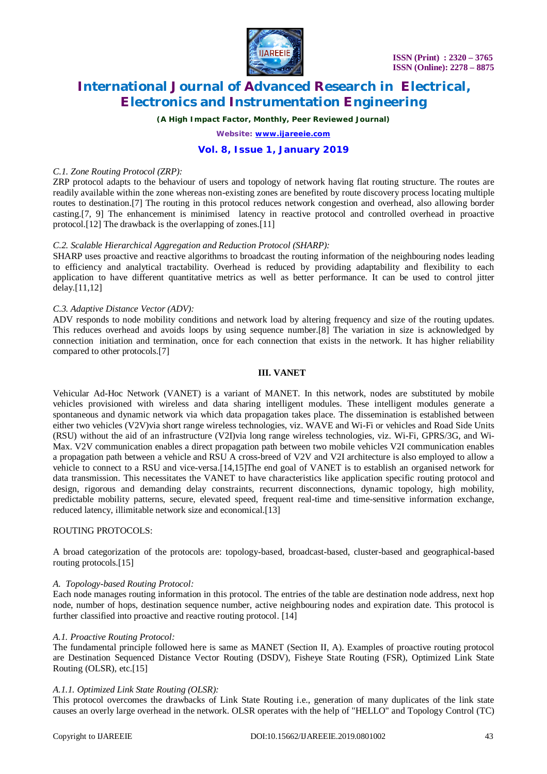

*(A High Impact Factor, Monthly, Peer Reviewed Journal)*

*Website: [www.ijareeie.com](http://www.ijareeie.com)*

# **Vol. 8, Issue 1, January 2019**

### *C.1. Zone Routing Protocol (ZRP):*

ZRP protocol adapts to the behaviour of users and topology of network having flat routing structure. The routes are readily available within the zone whereas non-existing zones are benefited by route discovery process locating multiple routes to destination.[7] The routing in this protocol reduces network congestion and overhead, also allowing border casting.[7, 9] The enhancement is minimised latency in reactive protocol and controlled overhead in proactive protocol.[12] The drawback is the overlapping of zones.[11]

# *C.2. Scalable Hierarchical Aggregation and Reduction Protocol (SHARP):*

SHARP uses proactive and reactive algorithms to broadcast the routing information of the neighbouring nodes leading to efficiency and analytical tractability. Overhead is reduced by providing adaptability and flexibility to each application to have different quantitative metrics as well as better performance. It can be used to control jitter delay.[11,12]

# *C.3. Adaptive Distance Vector (ADV):*

ADV responds to node mobility conditions and network load by altering frequency and size of the routing updates. This reduces overhead and avoids loops by using sequence number.[8] The variation in size is acknowledged by connection initiation and termination, once for each connection that exists in the network. It has higher reliability compared to other protocols.[7]

### **III. VANET**

Vehicular Ad-Hoc Network (VANET) is a variant of MANET. In this network, nodes are substituted by mobile vehicles provisioned with wireless and data sharing intelligent modules. These intelligent modules generate a spontaneous and dynamic network via which data propagation takes place. The dissemination is established between either two vehicles (V2V)via short range wireless technologies, viz. WAVE and Wi-Fi or vehicles and Road Side Units (RSU) without the aid of an infrastructure (V2I)via long range wireless technologies, viz. Wi-Fi, GPRS/3G, and Wi-Max. V2V communication enables a direct propagation path between two mobile vehicles V2I communication enables a propagation path between a vehicle and RSU A cross-breed of V2V and V2I architecture is also employed to allow a vehicle to connect to a RSU and vice-versa.[14,15]The end goal of VANET is to establish an organised network for data transmission. This necessitates the VANET to have characteristics like application specific routing protocol and design, rigorous and demanding delay constraints, recurrent disconnections, dynamic topology, high mobility, predictable mobility patterns, secure, elevated speed, frequent real-time and time-sensitive information exchange, reduced latency, illimitable network size and economical.<sup>[13]</sup>

#### ROUTING PROTOCOLS:

A broad categorization of the protocols are: topology-based, broadcast-based, cluster-based and geographical-based routing protocols.[15]

#### *A. Topology-based Routing Protocol:*

Each node manages routing information in this protocol. The entries of the table are destination node address, next hop node, number of hops, destination sequence number, active neighbouring nodes and expiration date. This protocol is further classified into proactive and reactive routing protocol. [14]

#### *A.1. Proactive Routing Protocol:*

The fundamental principle followed here is same as MANET (Section II, A). Examples of proactive routing protocol are Destination Sequenced Distance Vector Routing (DSDV), Fisheye State Routing (FSR), Optimized Link State Routing (OLSR), etc.[15]

# *A.1.1. Optimized Link State Routing (OLSR):*

This protocol overcomes the drawbacks of Link State Routing i.e., generation of many duplicates of the link state causes an overly large overhead in the network. OLSR operates with the help of "HELLO" and Topology Control (TC)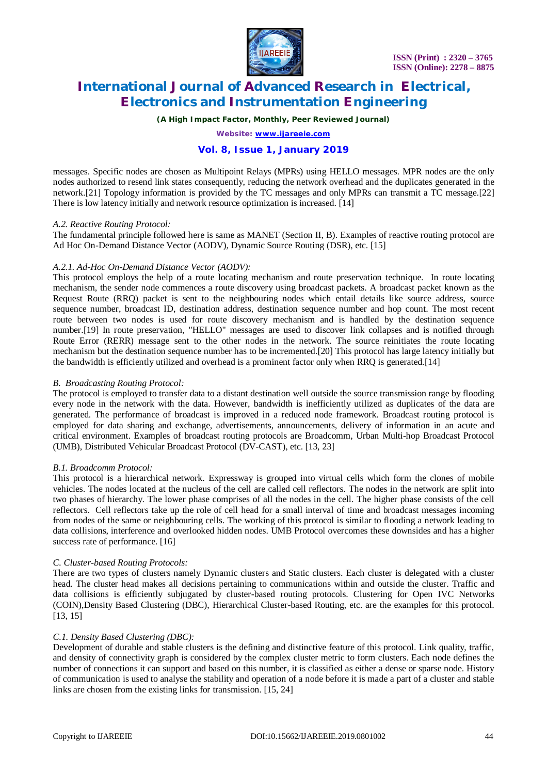

*(A High Impact Factor, Monthly, Peer Reviewed Journal)*

*Website: [www.ijareeie.com](http://www.ijareeie.com)*

# **Vol. 8, Issue 1, January 2019**

messages. Specific nodes are chosen as Multipoint Relays (MPRs) using HELLO messages. MPR nodes are the only nodes authorized to resend link states consequently, reducing the network overhead and the duplicates generated in the network.[21] Topology information is provided by the TC messages and only MPRs can transmit a TC message.[22] There is low latency initially and network resource optimization is increased. [14]

### *A.2. Reactive Routing Protocol:*

The fundamental principle followed here is same as MANET (Section II, B). Examples of reactive routing protocol are Ad Hoc On-Demand Distance Vector (AODV), Dynamic Source Routing (DSR), etc. [15]

# *A.2.1. Ad-Hoc On-Demand Distance Vector (AODV):*

This protocol employs the help of a route locating mechanism and route preservation technique. In route locating mechanism, the sender node commences a route discovery using broadcast packets. A broadcast packet known as the Request Route (RRQ) packet is sent to the neighbouring nodes which entail details like source address, source sequence number, broadcast ID, destination address, destination sequence number and hop count. The most recent route between two nodes is used for route discovery mechanism and is handled by the destination sequence number.[19] In route preservation, "HELLO" messages are used to discover link collapses and is notified through Route Error (RERR) message sent to the other nodes in the network. The source reinitiates the route locating mechanism but the destination sequence number has to be incremented.[20] This protocol has large latency initially but the bandwidth is efficiently utilized and overhead is a prominent factor only when RRQ is generated.[14]

# *B. Broadcasting Routing Protocol:*

The protocol is employed to transfer data to a distant destination well outside the source transmission range by flooding every node in the network with the data. However, bandwidth is inefficiently utilized as duplicates of the data are generated. The performance of broadcast is improved in a reduced node framework. Broadcast routing protocol is employed for data sharing and exchange, advertisements, announcements, delivery of information in an acute and critical environment. Examples of broadcast routing protocols are Broadcomm, Urban Multi-hop Broadcast Protocol (UMB), Distributed Vehicular Broadcast Protocol (DV-CAST), etc. [13, 23]

# *B.1. Broadcomm Protocol:*

This protocol is a hierarchical network. Expressway is grouped into virtual cells which form the clones of mobile vehicles. The nodes located at the nucleus of the cell are called cell reflectors. The nodes in the network are split into two phases of hierarchy. The lower phase comprises of all the nodes in the cell. The higher phase consists of the cell reflectors. Cell reflectors take up the role of cell head for a small interval of time and broadcast messages incoming from nodes of the same or neighbouring cells. The working of this protocol is similar to flooding a network leading to data collisions, interference and overlooked hidden nodes. UMB Protocol overcomes these downsides and has a higher success rate of performance. [16]

# *C. Cluster-based Routing Protocols:*

There are two types of clusters namely Dynamic clusters and Static clusters. Each cluster is delegated with a cluster head. The cluster head makes all decisions pertaining to communications within and outside the cluster. Traffic and data collisions is efficiently subjugated by cluster-based routing protocols. Clustering for Open IVC Networks (COIN),Density Based Clustering (DBC), Hierarchical Cluster-based Routing, etc. are the examples for this protocol. [13, 15]

# *C.1. Density Based Clustering (DBC):*

Development of durable and stable clusters is the defining and distinctive feature of this protocol. Link quality, traffic, and density of connectivity graph is considered by the complex cluster metric to form clusters. Each node defines the number of connections it can support and based on this number, it is classified as either a dense or sparse node. History of communication is used to analyse the stability and operation of a node before it is made a part of a cluster and stable links are chosen from the existing links for transmission. [15, 24]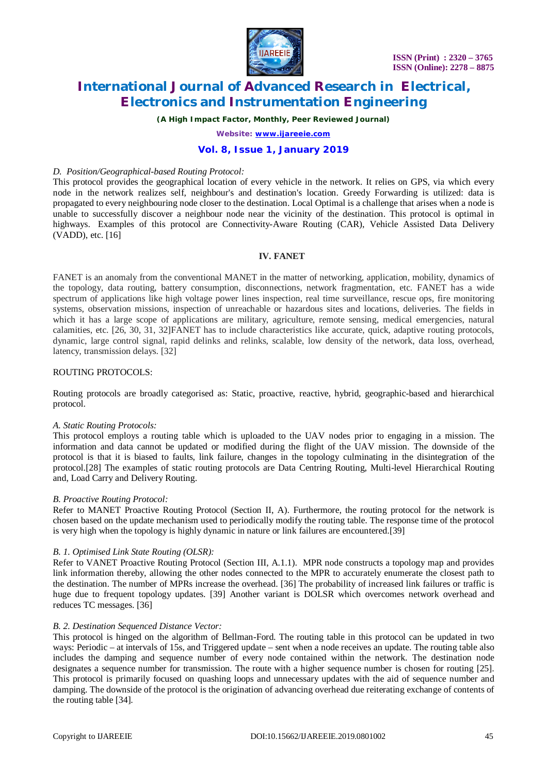

*(A High Impact Factor, Monthly, Peer Reviewed Journal)*

*Website: [www.ijareeie.com](http://www.ijareeie.com)*

# **Vol. 8, Issue 1, January 2019**

#### *D. Position/Geographical-based Routing Protocol:*

This protocol provides the geographical location of every vehicle in the network. It relies on GPS, via which every node in the network realizes self, neighbour's and destination's location. Greedy Forwarding is utilized: data is propagated to every neighbouring node closer to the destination. Local Optimal is a challenge that arises when a node is unable to successfully discover a neighbour node near the vicinity of the destination. This protocol is optimal in highways. Examples of this protocol are Connectivity-Aware Routing (CAR), Vehicle Assisted Data Delivery (VADD), etc. [16]

# **IV. FANET**

FANET is an anomaly from the conventional MANET in the matter of networking, application, mobility, dynamics of the topology, data routing, battery consumption, disconnections, network fragmentation, etc. FANET has a wide spectrum of applications like high voltage power lines inspection, real time surveillance, rescue ops, fire monitoring systems, observation missions, inspection of unreachable or hazardous sites and locations, deliveries. The fields in which it has a large scope of applications are military, agriculture, remote sensing, medical emergencies, natural calamities, etc. [26, 30, 31, 32]FANET has to include characteristics like accurate, quick, adaptive routing protocols, dynamic, large control signal, rapid delinks and relinks, scalable, low density of the network, data loss, overhead, latency, transmission delays. [32]

### ROUTING PROTOCOLS:

Routing protocols are broadly categorised as: Static, proactive, reactive, hybrid, geographic-based and hierarchical protocol.

#### *A. Static Routing Protocols:*

This protocol employs a routing table which is uploaded to the UAV nodes prior to engaging in a mission. The information and data cannot be updated or modified during the flight of the UAV mission. The downside of the protocol is that it is biased to faults, link failure, changes in the topology culminating in the disintegration of the protocol.[28] The examples of static routing protocols are Data Centring Routing, Multi-level Hierarchical Routing and, Load Carry and Delivery Routing.

# *B. Proactive Routing Protocol:*

Refer to MANET Proactive Routing Protocol (Section II, A). Furthermore, the routing protocol for the network is chosen based on the update mechanism used to periodically modify the routing table. The response time of the protocol is very high when the topology is highly dynamic in nature or link failures are encountered.[39]

# *B. 1. Optimised Link State Routing (OLSR):*

Refer to VANET Proactive Routing Protocol (Section III, A.1.1). MPR node constructs a topology map and provides link information thereby, allowing the other nodes connected to the MPR to accurately enumerate the closest path to the destination. The number of MPRs increase the overhead. [36] The probability of increased link failures or traffic is huge due to frequent topology updates. [39] Another variant is DOLSR which overcomes network overhead and reduces TC messages. [36]

#### *B. 2. Destination Sequenced Distance Vector:*

This protocol is hinged on the algorithm of Bellman-Ford. The routing table in this protocol can be updated in two ways: Periodic – at intervals of 15s, and Triggered update – sent when a node receives an update. The routing table also includes the damping and sequence number of every node contained within the network. The destination node designates a sequence number for transmission. The route with a higher sequence number is chosen for routing [25]. This protocol is primarily focused on quashing loops and unnecessary updates with the aid of sequence number and damping. The downside of the protocol is the origination of advancing overhead due reiterating exchange of contents of the routing table [34].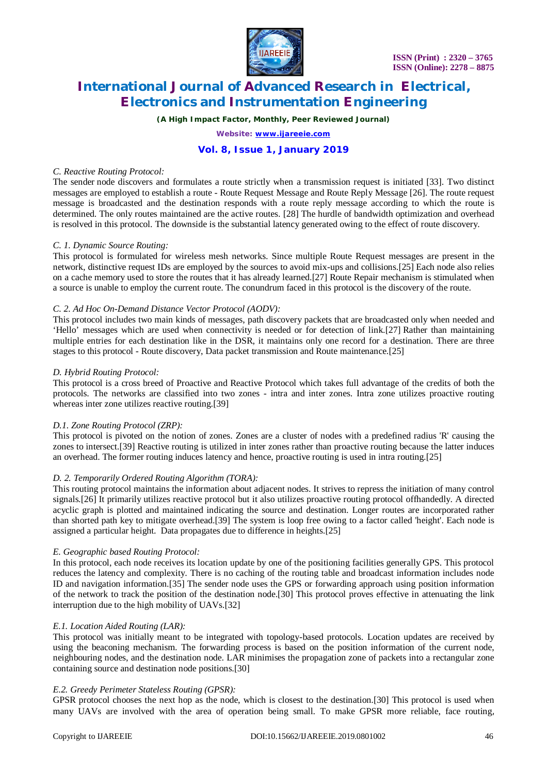

*(A High Impact Factor, Monthly, Peer Reviewed Journal)*

*Website: [www.ijareeie.com](http://www.ijareeie.com)*

# **Vol. 8, Issue 1, January 2019**

### *C. Reactive Routing Protocol:*

The sender node discovers and formulates a route strictly when a transmission request is initiated [33]. Two distinct messages are employed to establish a route - Route Request Message and Route Reply Message [26]. The route request message is broadcasted and the destination responds with a route reply message according to which the route is determined. The only routes maintained are the active routes. [28] The hurdle of bandwidth optimization and overhead is resolved in this protocol. The downside is the substantial latency generated owing to the effect of route discovery.

### *C. 1. Dynamic Source Routing:*

This protocol is formulated for wireless mesh networks. Since multiple Route Request messages are present in the network, distinctive request IDs are employed by the sources to avoid mix-ups and collisions.[25] Each node also relies on a cache memory used to store the routes that it has already learned.[27] Route Repair mechanism is stimulated when a source is unable to employ the current route. The conundrum faced in this protocol is the discovery of the route.

# *C. 2. Ad Hoc On-Demand Distance Vector Protocol (AODV):*

This protocol includes two main kinds of messages, path discovery packets that are broadcasted only when needed and 'Hello' messages which are used when connectivity is needed or for detection of link.[27] Rather than maintaining multiple entries for each destination like in the DSR, it maintains only one record for a destination. There are three stages to this protocol - Route discovery, Data packet transmission and Route maintenance.[25]

### *D. Hybrid Routing Protocol:*

This protocol is a cross breed of Proactive and Reactive Protocol which takes full advantage of the credits of both the protocols. The networks are classified into two zones - intra and inter zones. Intra zone utilizes proactive routing whereas inter zone utilizes reactive routing.[39]

# *D.1. Zone Routing Protocol (ZRP):*

This protocol is pivoted on the notion of zones. Zones are a cluster of nodes with a predefined radius 'R' causing the zones to intersect.[39] Reactive routing is utilized in inter zones rather than proactive routing because the latter induces an overhead. The former routing induces latency and hence, proactive routing is used in intra routing.[25]

# *D. 2. Temporarily Ordered Routing Algorithm (TORA):*

This routing protocol maintains the information about adjacent nodes. It strives to repress the initiation of many control signals.[26] It primarily utilizes reactive protocol but it also utilizes proactive routing protocol offhandedly. A directed acyclic graph is plotted and maintained indicating the source and destination. Longer routes are incorporated rather than shorted path key to mitigate overhead.[39] The system is loop free owing to a factor called 'height'. Each node is assigned a particular height. Data propagates due to difference in heights.[25]

# *E. Geographic based Routing Protocol:*

In this protocol, each node receives its location update by one of the positioning facilities generally GPS. This protocol reduces the latency and complexity. There is no caching of the routing table and broadcast information includes node ID and navigation information.[35] The sender node uses the GPS or forwarding approach using position information of the network to track the position of the destination node.[30] This protocol proves effective in attenuating the link interruption due to the high mobility of UAVs.[32]

# *E.1. Location Aided Routing (LAR):*

This protocol was initially meant to be integrated with topology-based protocols. Location updates are received by using the beaconing mechanism. The forwarding process is based on the position information of the current node, neighbouring nodes, and the destination node. LAR minimises the propagation zone of packets into a rectangular zone containing source and destination node positions.[30]

# *E.2. Greedy Perimeter Stateless Routing (GPSR):*

GPSR protocol chooses the next hop as the node, which is closest to the destination.[30] This protocol is used when many UAVs are involved with the area of operation being small. To make GPSR more reliable, face routing,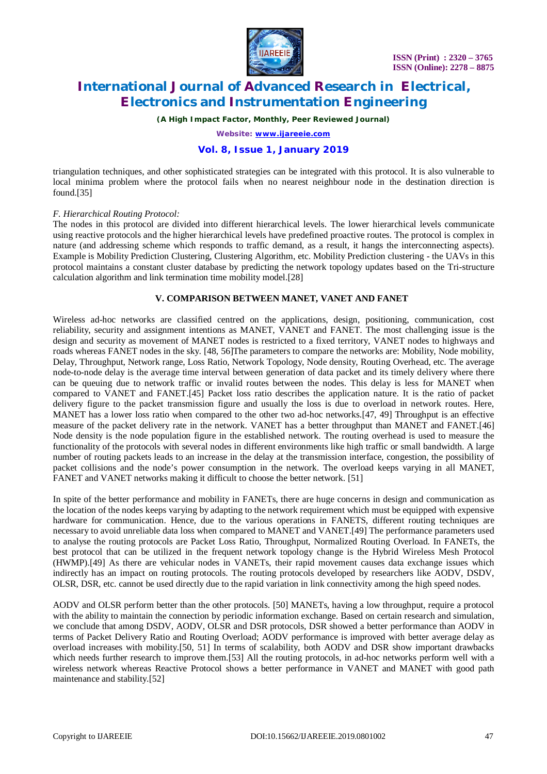

*(A High Impact Factor, Monthly, Peer Reviewed Journal)*

*Website: [www.ijareeie.com](http://www.ijareeie.com)*

# **Vol. 8, Issue 1, January 2019**

triangulation techniques, and other sophisticated strategies can be integrated with this protocol. It is also vulnerable to local minima problem where the protocol fails when no nearest neighbour node in the destination direction is found.[35]

# *F. Hierarchical Routing Protocol:*

The nodes in this protocol are divided into different hierarchical levels. The lower hierarchical levels communicate using reactive protocols and the higher hierarchical levels have predefined proactive routes. The protocol is complex in nature (and addressing scheme which responds to traffic demand, as a result, it hangs the interconnecting aspects). Example is Mobility Prediction Clustering, Clustering Algorithm, etc. Mobility Prediction clustering - the UAVs in this protocol maintains a constant cluster database by predicting the network topology updates based on the Tri-structure calculation algorithm and link termination time mobility model.[28]

# **V. COMPARISON BETWEEN MANET, VANET AND FANET**

Wireless ad-hoc networks are classified centred on the applications, design, positioning, communication, cost reliability, security and assignment intentions as MANET, VANET and FANET. The most challenging issue is the design and security as movement of MANET nodes is restricted to a fixed territory, VANET nodes to highways and roads whereas FANET nodes in the sky. [48, 56]The parameters to compare the networks are: Mobility, Node mobility, Delay, Throughput, Network range, Loss Ratio, Network Topology, Node density, Routing Overhead, etc. The average node-to-node delay is the average time interval between generation of data packet and its timely delivery where there can be queuing due to network traffic or invalid routes between the nodes. This delay is less for MANET when compared to VANET and FANET.[45] Packet loss ratio describes the application nature. It is the ratio of packet delivery figure to the packet transmission figure and usually the loss is due to overload in network routes. Here, MANET has a lower loss ratio when compared to the other two ad-hoc networks.[47, 49] Throughput is an effective measure of the packet delivery rate in the network. VANET has a better throughput than MANET and FANET.[46] Node density is the node population figure in the established network. The routing overhead is used to measure the functionality of the protocols with several nodes in different environments like high traffic or small bandwidth. A large number of routing packets leads to an increase in the delay at the transmission interface, congestion, the possibility of packet collisions and the node's power consumption in the network. The overload keeps varying in all MANET, FANET and VANET networks making it difficult to choose the better network. [51]

In spite of the better performance and mobility in FANETs, there are huge concerns in design and communication as the location of the nodes keeps varying by adapting to the network requirement which must be equipped with expensive hardware for communication. Hence, due to the various operations in FANETS, different routing techniques are necessary to avoid unreliable data loss when compared to MANET and VANET.[49] The performance parameters used to analyse the routing protocols are Packet Loss Ratio, Throughput, Normalized Routing Overload. In FANETs, the best protocol that can be utilized in the frequent network topology change is the Hybrid Wireless Mesh Protocol (HWMP).[49] As there are vehicular nodes in VANETs, their rapid movement causes data exchange issues which indirectly has an impact on routing protocols. The routing protocols developed by researchers like AODV, DSDV, OLSR, DSR, etc. cannot be used directly due to the rapid variation in link connectivity among the high speed nodes.

AODV and OLSR perform better than the other protocols. [50] MANETs, having a low throughput, require a protocol with the ability to maintain the connection by periodic information exchange. Based on certain research and simulation, we conclude that among DSDV, AODV, OLSR and DSR protocols, DSR showed a better performance than AODV in terms of Packet Delivery Ratio and Routing Overload; AODV performance is improved with better average delay as overload increases with mobility.[50, 51] In terms of scalability, both AODV and DSR show important drawbacks which needs further research to improve them.[53] All the routing protocols, in ad-hoc networks perform well with a wireless network whereas Reactive Protocol shows a better performance in VANET and MANET with good path maintenance and stability.[52]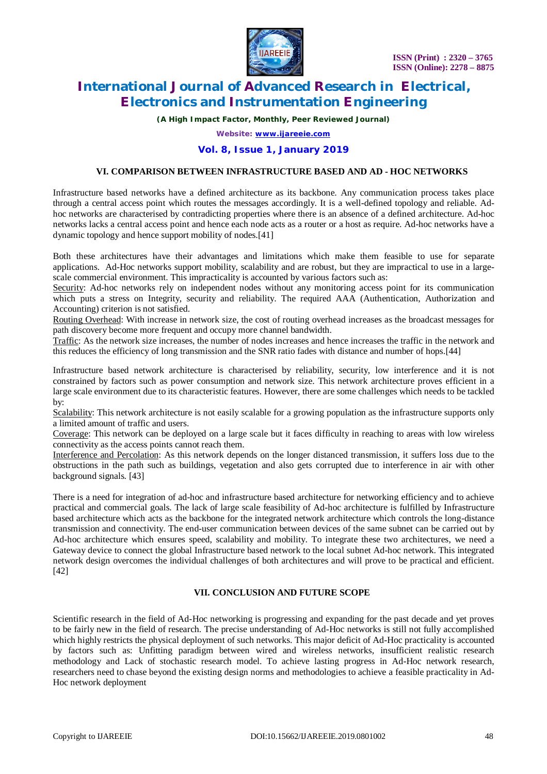

*(A High Impact Factor, Monthly, Peer Reviewed Journal)*

*Website: [www.ijareeie.com](http://www.ijareeie.com)*

# **Vol. 8, Issue 1, January 2019**

# **VI. COMPARISON BETWEEN INFRASTRUCTURE BASED AND AD - HOC NETWORKS**

Infrastructure based networks have a defined architecture as its backbone. Any communication process takes place through a central access point which routes the messages accordingly. It is a well-defined topology and reliable. Adhoc networks are characterised by contradicting properties where there is an absence of a defined architecture. Ad-hoc networks lacks a central access point and hence each node acts as a router or a host as require. Ad-hoc networks have a dynamic topology and hence support mobility of nodes.[41]

Both these architectures have their advantages and limitations which make them feasible to use for separate applications. Ad-Hoc networks support mobility, scalability and are robust, but they are impractical to use in a largescale commercial environment. This impracticality is accounted by various factors such as:

Security: Ad-hoc networks rely on independent nodes without any monitoring access point for its communication which puts a stress on Integrity, security and reliability. The required AAA (Authentication, Authorization and Accounting) criterion is not satisfied.

Routing Overhead: With increase in network size, the cost of routing overhead increases as the broadcast messages for path discovery become more frequent and occupy more channel bandwidth.

Traffic: As the network size increases, the number of nodes increases and hence increases the traffic in the network and this reduces the efficiency of long transmission and the SNR ratio fades with distance and number of hops.[44]

Infrastructure based network architecture is characterised by reliability, security, low interference and it is not constrained by factors such as power consumption and network size. This network architecture proves efficient in a large scale environment due to its characteristic features. However, there are some challenges which needs to be tackled by:

Scalability: This network architecture is not easily scalable for a growing population as the infrastructure supports only a limited amount of traffic and users.

Coverage: This network can be deployed on a large scale but it faces difficulty in reaching to areas with low wireless connectivity as the access points cannot reach them.

Interference and Percolation: As this network depends on the longer distanced transmission, it suffers loss due to the obstructions in the path such as buildings, vegetation and also gets corrupted due to interference in air with other background signals. [43]

There is a need for integration of ad-hoc and infrastructure based architecture for networking efficiency and to achieve practical and commercial goals. The lack of large scale feasibility of Ad-hoc architecture is fulfilled by Infrastructure based architecture which acts as the backbone for the integrated network architecture which controls the long-distance transmission and connectivity. The end-user communication between devices of the same subnet can be carried out by Ad-hoc architecture which ensures speed, scalability and mobility. To integrate these two architectures, we need a Gateway device to connect the global Infrastructure based network to the local subnet Ad-hoc network. This integrated network design overcomes the individual challenges of both architectures and will prove to be practical and efficient. [42]

# **VII. CONCLUSION AND FUTURE SCOPE**

Scientific research in the field of Ad-Hoc networking is progressing and expanding for the past decade and yet proves to be fairly new in the field of research. The precise understanding of Ad-Hoc networks is still not fully accomplished which highly restricts the physical deployment of such networks. This major deficit of Ad-Hoc practicality is accounted by factors such as: Unfitting paradigm between wired and wireless networks, insufficient realistic research methodology and Lack of stochastic research model. To achieve lasting progress in Ad-Hoc network research, researchers need to chase beyond the existing design norms and methodologies to achieve a feasible practicality in Ad-Hoc network deployment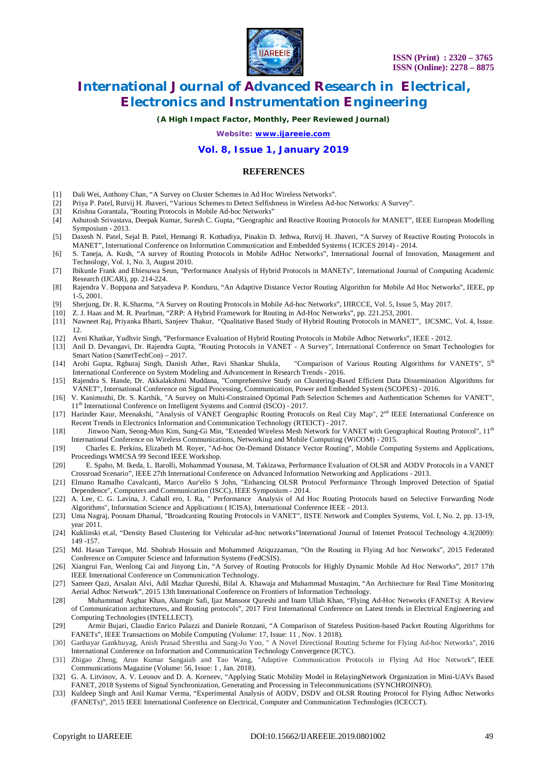

*(A High Impact Factor, Monthly, Peer Reviewed Journal)*

*Website: [www.ijareeie.com](http://www.ijareeie.com)*

# **Vol. 8, Issue 1, January 2019**

### **REFERENCES**

- [1] Dali Wei, Anthony Chan, "A Survey on Cluster Schemes in Ad Hoc Wireless Networks".
- [2] Priya P. Patel, Rutvij H. Jhaveri, "Various Schemes to Detect Selfishness in Wireless Ad-hoc Networks: A Survey".
- [3] Krishna Gorantala, "Routing Protocols in Mobile Ad-hoc Networks"
- [4] Ashutosh Srivastava, Deepak Kumar, Suresh C. Gupta, "Geographic and Reactive Routing Protocols for MANET", IEEE European Modelling Symposium - 2013.
- [5] Daxesh N. Patel, Sejal B. Patel, Hemangi R. Kothadiya, Pinakin D. Jethwa, Rutvij H. Jhaveri, "A Survey of Reactive Routing Protocols in MANET", International Conference on Information Communication and Embedded Systems ( ICICES 2014) - 2014.
- [6] S. Taneja, A. Kush, "A survey of Routing Protocols in Mobile AdHoc Networks", International Journal of Innovation, Management and Technology, Vol. 1, No. 3, August 2010.
- [7] Ibikunle Frank and Ebiesuwa Seun, "Performance Analysis of Hybrid Protocols in MANETs", International Journal of Computing Academic Research (IJCAR), pp. 214-224.
- [8] Rajendra V. Boppana and Satyadeva P. Konduru, "An Adaptive Distance Vector Routing Algorithm for Mobile Ad Hoc Networks", IEEE, pp 1-5, 2001.
- [9] Sherjung, Dr. R. K.Sharma, "A Survey on Routing Protocols in Mobile Ad-hoc Networks", IJIRCCE, Vol. 5, Issue 5, May 2017.
- [10] Z. J. Haas and M. R. Pearlman, "ZRP: A Hybrid Framework for Routing in Ad-Hoc Networks", pp. 221.253, 2001.
- [11] Nawneet Raj, Priyanka Bharti, Sanjeev Thakur, "Qualitative Based Study of Hybrid Routing Protocols in MANET", IJCSMC, Vol. 4, Issue. 12.
- [12] Avni Khatkar, Yudhvir Singh, "Performance Evaluation of Hybrid Routing Protocols in Mobile Adhoc Networks", IEEE 2012.
- [13] Anil D. Devangavi, Dr. Rajendra Gupta, "Routing Protocols in VANET A Survey", International Conference on Smart Technologies for Smart Nation (SamrtTechCon) – 2017.
- [14] Arohi Gupta, Rghuraj Singh, Danish Ather, Ravi Shankar Shukla, "Comparison of Various Routing Algorithms for VANETS", 5<sup>th</sup> International Conference on System Modeling and Advancement in Research Trends - 2016.
- [15] Rajendra S. Hande, Dr. Akkalakshmi Muddana, "Comprehensive Study on Clustering-Based Efficient Data Dissemination Algorithms for VANET", International Conference on Signal Processing, Communication, Power and Embedded System (SCOPES) - 2016.
- [16] V. Kanimozhi, Dr. S. Karthik, "A Survey on Multi-Constrained Optimal Path Selection Schemes and Authentication Schemes for VANET", 11th International Conference on Intelligent Systems and Control (ISCO) - 2017.
- [17] Harinder Kaur, Meenakshi, "Analysis of VANET Geographic Routing Protocols on Real City Map", 2<sup>nd</sup> IEEE International Conference on Recent Trends in Electronics Information and Communication Technology (RTEICT) - 2017.
- [18] Jinwoo Nam, Seong-Mun Kim, Sung-Gi Min, "Extended Wireless Mesh Network for VANET with Geographical Routing Protocol", 11th International Conference on Wireless Communications, Networking and Mobile Computing (WiCOM) - 2015.
- [19] Charles E. Perkins, Elizabeth M. Royer, "Ad-hoc On-Demand Distance Vector Routing", Mobile Computing Systems and Applications, Proceedings WMCSA 99 Second IEEE Workshop.
- [20] E. Spaho, M. Ikeda, L. Barolli, Mohammad Younasa, M. Takizawa, Performance Evaluation of OLSR and AODV Protocols in a VANET Crossroad Scenario", IEEE 27th International Conference on Advanced Information Networking and Applications - 2013.
- [21] Elmano Ramalho Cavalcanti, Marco Aur'elio S John, "Enhancing OLSR Protocol Performance Through Improved Detection of Spatial Dependence", Computers and Communication (ISCC), IEEE Symposium - 2014.
- [22] A. Lee, C. G. Lavina, J. Caball ero, I. Ra, " Performance Analysis of Ad Hoc Routing Protocols based on Selective Forwarding Node Algorithms", Information Science and Applications ( ICISA), International Conference IEEE - 2013.
- [23] Uma Nagraj, Poonam Dhamal, "Broadcasting Routing Protocols in VANET", IISTE Network and Complex Systems, Vol. I, No. 2, pp. 13-19, year 2011.
- [24] Kuklinski et.al, "Density Based Clustering for Vehicular ad-hoc networks"International Journal of Internet Protocol Technology 4.3(2009): 149 -157.
- [25] Md. Hasan Tareque, Md. Shohrab Hossain and Mohammed Atiquzzaman, "On the Routing in Flying Ad hoc Networks", 2015 Federated Conference on Computer Science and Information Systems (FedCSIS).
- [26] Xiangrui Fan, Wenlong Cai and Jinyong Lin, "A Survey of Routing Protocols for Highly Dynamic Mobile Ad Hoc Networks", 2017 17th IEEE International Conference on Communication Technology.
- [27] Sameer Qazi, Arsalan Alvi, Adil Mazhar Qureshi, Bilal A. Khawaja and Muhammad Mustaqim, "An Architecture for Real Time Monitoring Aerial Adhoc Network", 2015 13th International Conference on Frontiers of Information Technology.
- [28] Muhammad Asghar Khan, Alamgir Safi, Ijaz Mansoor Qureshi and Inam Ullah Khan, "Flying Ad-Hoc Networks (FANETs): A Review of Communication architectures, and Routing protocols", 2017 First International Conference on Latest trends in Electrical Engineering and Computing Technologies (INTELLECT).
- [29] Armir Bujari, Claudio Enrico Palazzi and Daniele Ronzani, "A Comparison of Stateless Position-based Packet Routing Algorithms for FANETs", IEEE Transactions on Mobile Computing (Volume: 17, Issue: 11 , Nov. 1 2018).
- [30] Ganbayar Gankhuyag, Anish Prasad Shrestha and Sang-Jo Yoo, " A Novel Directional Routing Scheme for Flying Ad-hoc Networks", 2016 International Conference on Information and Communication Technology Convergence (ICTC).
- [31] Zhigao Zheng, Arun Kumar Sangaiah and Tao Wang, "Adaptive Communication Protocols in Flying Ad Hoc Network", IEEE Communications Magazine (Volume: 56, Issue: 1 , Jan. 2018).
- [32] G. A. Litvinov, A. V. Leonov and D. A. Korneev, "Applying Static Mobility Model in RelayingNetwork Organization in Mini-UAVs Based FANET, 2018 Systems of Signal Synchronization, Generating and Processing in Telecommunications (SYNCHROINFO).
- [33] Kuldeep Singh and Anil Kumar Verma, "Experimental Analysis of AODV, DSDV and OLSR Routing Protocol for Flying Adhoc Networks (FANETs)", 2015 IEEE International Conference on Electrical, Computer and Communication Technologies (ICECCT).